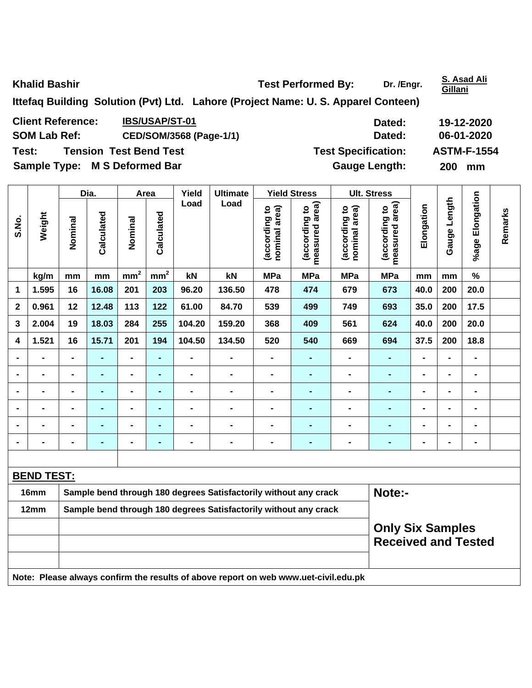**Khalid Bashir Conserverse Exercise 2 and Test Performed By:** Dr. /Engr. **S. Asad Ali <br>
<b>Khalid Bashir Cillani Gillani Ittefaq Building Solution (Pvt) Ltd. Lahore (Project Name: U. S. Apparel Conteen) Client Reference:** IBS/USAP/ST-01 **Dated:** 19-12-2020 SOM Lab Ref: CED/SOM/3568 (Page-1/1) **Dated:** 06-01-2020 **Test: Tension Test Bend Test Test Specification: ASTM-F-1554 Sample Type: M S Deformed Bar discussed Server All S Course Cauge Length: 200 mm** 

|              |                   |         | Dia.           | Area            |                 | Yield          | <b>Ultimate</b>                                                  |                                | <b>Yield Stress</b><br><b>Ult. Stress</b> |                                |                                    |                |                   |                          |         |
|--------------|-------------------|---------|----------------|-----------------|-----------------|----------------|------------------------------------------------------------------|--------------------------------|-------------------------------------------|--------------------------------|------------------------------------|----------------|-------------------|--------------------------|---------|
| S.No.        | Weight            | Nominal | Calculated     | Nominal         | Calculated      | Load           | Load                                                             | nominal area)<br>(according to | measured area)<br>(according to           | nominal area)<br>(according to | area)<br>(according to<br>measured | Elongation     | Length<br>Gauge I | %age Elongation          | Remarks |
|              | kg/m              | mm      | mm             | mm <sup>2</sup> | mm <sup>2</sup> | kN             | kN                                                               | <b>MPa</b>                     | <b>MPa</b>                                | <b>MPa</b>                     | <b>MPa</b>                         | mm             | mm                | $\frac{9}{6}$            |         |
| 1            | 1.595             | 16      | 16.08          | 201             | 203             | 96.20          | 136.50                                                           | 478                            | 474                                       | 679                            | 673                                | 40.0           | 200               | 20.0                     |         |
| $\mathbf{2}$ | 0.961             | 12      | 12.48          | 113             | 122             | 61.00          | 84.70                                                            | 539                            | 499                                       | 749                            | 693                                | 35.0           | 200               | 17.5                     |         |
| 3            | 2.004             | 19      | 18.03          | 284             | 255             | 104.20         | 159.20                                                           | 368                            | 409                                       | 561                            | 624                                | 40.0           | 200               | 20.0                     |         |
| 4            | 1.521             | 16      | 15.71          | 201             | 194             | 104.50         | 134.50                                                           | 520                            | 540                                       | 669                            | 694                                | 37.5           | 200               | 18.8                     |         |
|              | $\blacksquare$    |         | $\blacksquare$ | $\blacksquare$  | $\blacksquare$  | $\blacksquare$ |                                                                  |                                | $\blacksquare$                            | $\blacksquare$                 |                                    | $\blacksquare$ | $\blacksquare$    | $\overline{\phantom{0}}$ |         |
|              | $\blacksquare$    |         | $\blacksquare$ | $\blacksquare$  | $\blacksquare$  | $\blacksquare$ |                                                                  |                                | $\blacksquare$                            | $\blacksquare$                 |                                    | $\blacksquare$ | $\blacksquare$    | $\blacksquare$           |         |
|              | $\blacksquare$    |         | $\blacksquare$ | $\blacksquare$  | $\blacksquare$  | $\blacksquare$ |                                                                  |                                | $\blacksquare$                            | $\blacksquare$                 | -                                  | $\blacksquare$ | ٠                 | $\blacksquare$           |         |
|              | $\blacksquare$    |         | $\blacksquare$ | $\blacksquare$  | $\blacksquare$  |                |                                                                  |                                | $\blacksquare$                            | $\blacksquare$                 |                                    | $\blacksquare$ |                   | -                        |         |
|              | $\blacksquare$    |         | -              | $\blacksquare$  | $\blacksquare$  | $\blacksquare$ |                                                                  |                                | $\blacksquare$                            | $\blacksquare$                 |                                    | $\blacksquare$ | ٠                 | -                        |         |
|              |                   |         |                | $\blacksquare$  | $\blacksquare$  |                |                                                                  |                                | $\blacksquare$                            | $\blacksquare$                 | $\blacksquare$                     | $\blacksquare$ |                   | $\blacksquare$           |         |
|              |                   |         |                |                 |                 |                |                                                                  |                                |                                           |                                |                                    |                |                   |                          |         |
|              | <b>BEND TEST:</b> |         |                |                 |                 |                |                                                                  |                                |                                           |                                |                                    |                |                   |                          |         |
|              | 16mm              |         |                |                 |                 |                | Sample bend through 180 degrees Satisfactorily without any crack |                                |                                           |                                | Note:-                             |                |                   |                          |         |
|              | 12mm              |         |                |                 |                 |                | Sample bend through 180 degrees Satisfactorily without any crack |                                |                                           |                                |                                    |                |                   |                          |         |

| 12mm | Sample bend through 180 degrees Satisfactorily without any crack                    |                            |
|------|-------------------------------------------------------------------------------------|----------------------------|
|      |                                                                                     | <b>Only Six Samples</b>    |
|      |                                                                                     | <b>Received and Tested</b> |
|      |                                                                                     |                            |
|      | Note: Please always confirm the results of above report on web www.uet-civil.edu.pk |                            |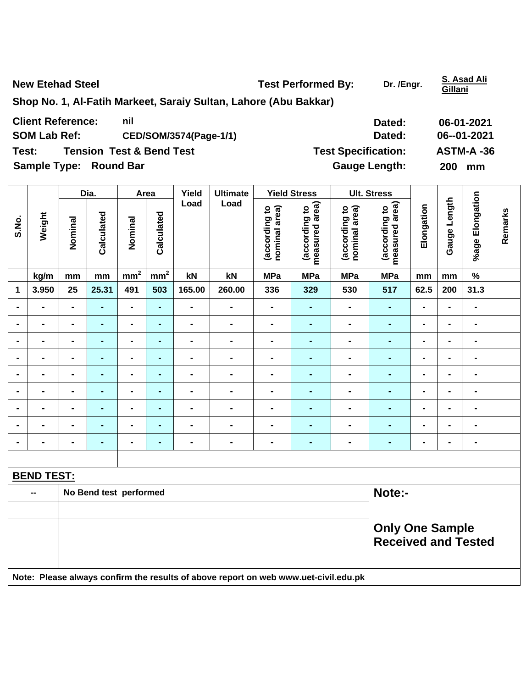**New Etehad Steel Steel Steel Steel Steel Steel Steel Steel Steel Steel Steel Steel Steel Steel Steel Steel Steel Steel Steel Steel Steel Steel Steel Steel Steel Steel Steel Steel Steel Steel Steel Steel Steel Steel Steel** 

**Gillani**

**Shop No. 1, Al-Fatih Markeet, Saraiy Sultan, Lahore (Abu Bakkar)** 

| <b>Client Reference:</b>      | nil                                 | Dated:                     | 06-01-2021       |
|-------------------------------|-------------------------------------|----------------------------|------------------|
| <b>SOM Lab Ref:</b>           | CED/SOM/3574(Page-1/1)              | Dated:                     | 06--01-2021      |
| Test:                         | <b>Tension Test &amp; Bend Test</b> | <b>Test Specification:</b> | ASTM-A-36        |
| <b>Sample Type: Round Bar</b> |                                     | <b>Gauge Length:</b>       | <b>200</b><br>mm |

|                |                |                | Dia.           |                 | Area            | Yield          | <b>Ultimate</b> |                                | <b>Yield Stress</b>                |                                | <b>Ult. Stress</b>                 |                |                 |                    |         |
|----------------|----------------|----------------|----------------|-----------------|-----------------|----------------|-----------------|--------------------------------|------------------------------------|--------------------------------|------------------------------------|----------------|-----------------|--------------------|---------|
| S.No.          | Weight         | Nominal        | Calculated     | Nominal         | Calculated      | Load           | Load            | nominal area)<br>(according to | area)<br>(according to<br>measured | nominal area)<br>(according to | area)<br>(according to<br>measured | Elongation     | Length<br>Gauge | Elongation<br>%age | Remarks |
|                | kg/m           | mm             | mm             | mm <sup>2</sup> | mm <sup>2</sup> | kN             | kN              | <b>MPa</b>                     | <b>MPa</b>                         | <b>MPa</b>                     | <b>MPa</b>                         | mm             | mm              | $\%$               |         |
| 1              | 3.950          | 25             | 25.31          | 491             | 503             | 165.00         | 260.00          | 336                            | 329                                | 530                            | 517                                | 62.5           | 200             | 31.3               |         |
| $\blacksquare$ | $\blacksquare$ | $\blacksquare$ | ۰              | $\blacksquare$  | $\blacksquare$  | $\blacksquare$ | $\blacksquare$  | $\blacksquare$                 | $\blacksquare$                     | $\blacksquare$                 | ۰                                  | $\blacksquare$ | $\blacksquare$  | $\blacksquare$     |         |
| $\blacksquare$ | $\blacksquare$ | $\blacksquare$ | ۰              | -               | $\blacksquare$  | $\blacksquare$ |                 | ۰                              | $\blacksquare$                     | $\blacksquare$                 | ۰                                  | $\blacksquare$ | $\blacksquare$  | $\blacksquare$     |         |
| $\blacksquare$ | $\blacksquare$ | $\blacksquare$ | ۰              | $\blacksquare$  | $\blacksquare$  | $\blacksquare$ | $\blacksquare$  | ٠                              | $\blacksquare$                     | $\blacksquare$                 | ۰                                  | $\blacksquare$ | $\blacksquare$  | $\blacksquare$     |         |
| $\blacksquare$ | $\blacksquare$ | $\blacksquare$ | $\blacksquare$ | $\blacksquare$  | $\blacksquare$  | $\blacksquare$ |                 | ٠                              | $\blacksquare$                     |                                |                                    | $\blacksquare$ | $\blacksquare$  | $\blacksquare$     |         |
| $\blacksquare$ | $\blacksquare$ | $\blacksquare$ | ۰              | $\blacksquare$  | $\blacksquare$  | $\blacksquare$ |                 | ٠                              | $\blacksquare$                     | $\blacksquare$                 | ۰                                  | $\blacksquare$ | $\blacksquare$  | $\blacksquare$     |         |
| $\blacksquare$ | $\blacksquare$ | $\blacksquare$ | ۰              | $\blacksquare$  | $\blacksquare$  | $\blacksquare$ |                 | ۰                              | $\blacksquare$                     | $\blacksquare$                 | $\blacksquare$                     | $\blacksquare$ | $\blacksquare$  | $\blacksquare$     |         |
| $\blacksquare$ | $\blacksquare$ | $\blacksquare$ | $\blacksquare$ | $\blacksquare$  | $\blacksquare$  | $\blacksquare$ | $\blacksquare$  | ٠                              | $\blacksquare$                     | $\blacksquare$                 | $\blacksquare$                     | $\blacksquare$ | $\blacksquare$  | $\blacksquare$     |         |
| $\blacksquare$ | $\blacksquare$ | $\blacksquare$ | ۰              | $\blacksquare$  | $\blacksquare$  | $\blacksquare$ |                 | ٠                              | $\blacksquare$                     | -                              | $\blacksquare$                     | $\blacksquare$ | $\blacksquare$  | $\blacksquare$     |         |
| $\blacksquare$ | $\blacksquare$ | $\blacksquare$ | ۰              | $\blacksquare$  | $\blacksquare$  | $\blacksquare$ | $\blacksquare$  | $\blacksquare$                 | $\blacksquare$                     | $\blacksquare$                 | $\blacksquare$                     | $\blacksquare$ | $\blacksquare$  | $\blacksquare$     |         |
|                |                |                |                |                 |                 |                |                 |                                |                                    |                                |                                    |                |                 |                    |         |

| <b>BEND TEST:</b> |
|-------------------|
|                   |

| $\sim$                                                                              | No Bend test performed | <b>Note:-</b>              |  |  |  |  |  |  |
|-------------------------------------------------------------------------------------|------------------------|----------------------------|--|--|--|--|--|--|
|                                                                                     |                        |                            |  |  |  |  |  |  |
|                                                                                     |                        | <b>Only One Sample</b>     |  |  |  |  |  |  |
|                                                                                     |                        | <b>Received and Tested</b> |  |  |  |  |  |  |
|                                                                                     |                        |                            |  |  |  |  |  |  |
| Note: Please always confirm the results of above report on web www.uet-civil.edu.pk |                        |                            |  |  |  |  |  |  |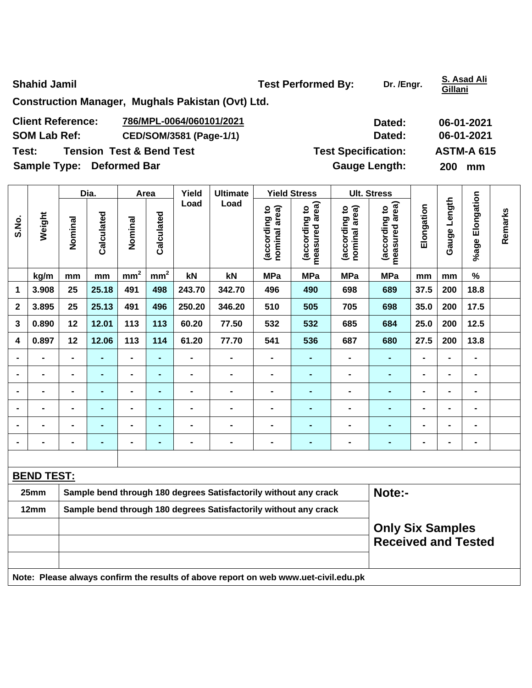**Shahid Jamil Community Community Community Community Community Community Community Community Community Community Community Community Community Community Community Community Community Community Community Community Communit** 

**Gillani**

**Construction Manager, Mughals Pakistan (Ovt) Ltd.** 

| <b>Client Reference:</b>         | 786/MPL-0064/060101/2021            | Dated:                     | 06-01-2021        |
|----------------------------------|-------------------------------------|----------------------------|-------------------|
| <b>SOM Lab Ref:</b>              | CED/SOM/3581 (Page-1/1)             | Dated:                     | 06-01-2021        |
| Test:                            | <b>Tension Test &amp; Bend Test</b> | <b>Test Specification:</b> | <b>ASTM-A 615</b> |
| <b>Sample Type: Deformed Bar</b> |                                     | <b>Gauge Length:</b>       | 200<br>mm         |

|                |                   |                                                                  | Dia.           |                 | Area            | Yield          | <b>Ultimate</b>                                                  |                                | <b>Yield Stress</b>             |                                | <b>Ult. Stress</b>                 |                |                 |                 |         |
|----------------|-------------------|------------------------------------------------------------------|----------------|-----------------|-----------------|----------------|------------------------------------------------------------------|--------------------------------|---------------------------------|--------------------------------|------------------------------------|----------------|-----------------|-----------------|---------|
| S.No.          | Weight            | Nominal                                                          | Calculated     | Nominal         | Calculated      | Load           | Load                                                             | nominal area)<br>(according to | measured area)<br>(according to | nominal area)<br>(according to | area)<br>(according to<br>measured | Elongation     | Length<br>Gauge | %age Elongation | Remarks |
|                | kg/m              | mm                                                               | mm             | mm <sup>2</sup> | mm <sup>2</sup> | kN             | kN                                                               | <b>MPa</b>                     | <b>MPa</b>                      | <b>MPa</b>                     | <b>MPa</b>                         | mm             | mm              | $\%$            |         |
| 1              | 3.908             | 25                                                               | 25.18          | 491             | 498             | 243.70         | 342.70                                                           | 496                            | 490                             | 698                            | 689                                | 37.5           | 200             | 18.8            |         |
| $\mathbf 2$    | 3.895             | 25                                                               | 25.13          | 491             | 496             | 250.20         | 346.20                                                           | 510                            | 505                             | 705                            | 698                                | 35.0           | 200             | 17.5            |         |
| 3              | 0.890             | 12                                                               | 12.01          | 113             | 113             | 60.20          | 77.50                                                            | 532                            | 532                             | 685                            | 684                                | 25.0           | 200             | $12.5$          |         |
| 4              | 0.897             | 12                                                               | 12.06          | 113             | 114             | 61.20          | 77.70                                                            | 541                            | 536                             | 687                            | 680                                | 27.5           | 200             | 13.8            |         |
|                |                   | $\blacksquare$                                                   | $\blacksquare$ | $\blacksquare$  | $\blacksquare$  |                | $\blacksquare$                                                   |                                | $\blacksquare$                  | $\blacksquare$                 | $\blacksquare$                     | $\blacksquare$ |                 |                 |         |
| $\blacksquare$ | $\blacksquare$    | $\blacksquare$                                                   | $\blacksquare$ | $\blacksquare$  | $\blacksquare$  | $\blacksquare$ | $\blacksquare$                                                   |                                | $\blacksquare$                  | $\blacksquare$                 | $\blacksquare$                     | $\blacksquare$ | $\blacksquare$  | $\blacksquare$  |         |
|                | $\blacksquare$    |                                                                  | $\blacksquare$ | $\blacksquare$  | $\blacksquare$  | $\blacksquare$ | -                                                                | $\blacksquare$                 | $\blacksquare$                  | $\blacksquare$                 | $\blacksquare$                     | $\blacksquare$ |                 | $\blacksquare$  |         |
|                |                   |                                                                  | $\blacksquare$ | $\blacksquare$  | $\blacksquare$  |                | $\blacksquare$                                                   |                                | $\blacksquare$                  | ÷                              |                                    | $\blacksquare$ |                 | $\blacksquare$  |         |
|                | $\blacksquare$    |                                                                  | $\blacksquare$ | $\blacksquare$  | $\blacksquare$  | $\blacksquare$ |                                                                  | $\blacksquare$                 | ۰                               | $\blacksquare$                 | $\blacksquare$                     | $\blacksquare$ | $\blacksquare$  | $\blacksquare$  |         |
|                | $\blacksquare$    | $\blacksquare$                                                   | $\blacksquare$ | $\blacksquare$  | $\blacksquare$  | $\blacksquare$ | $\blacksquare$                                                   | $\blacksquare$                 | $\blacksquare$                  | $\blacksquare$                 | $\blacksquare$                     | $\blacksquare$ | $\blacksquare$  | $\blacksquare$  |         |
|                |                   |                                                                  |                |                 |                 |                |                                                                  |                                |                                 |                                |                                    |                |                 |                 |         |
|                | <b>BEND TEST:</b> |                                                                  |                |                 |                 |                |                                                                  |                                |                                 |                                |                                    |                |                 |                 |         |
|                | 25mm              | Sample bend through 180 degrees Satisfactorily without any crack |                |                 |                 |                |                                                                  |                                |                                 | Note:-                         |                                    |                |                 |                 |         |
|                | 12mm              |                                                                  |                |                 |                 |                | Sample bend through 180 degrees Satisfactorily without any crack |                                |                                 |                                |                                    |                |                 |                 |         |
|                |                   |                                                                  |                |                 |                 |                |                                                                  |                                |                                 |                                | <b>Only Six Samples</b>            |                |                 |                 |         |
|                |                   |                                                                  |                |                 |                 |                |                                                                  |                                |                                 |                                | <b>Received and Tested</b>         |                |                 |                 |         |
|                |                   |                                                                  |                |                 |                 |                |                                                                  |                                |                                 |                                |                                    |                |                 |                 |         |

**Note: Please always confirm the results of above report on web www.uet-civil.edu.pk**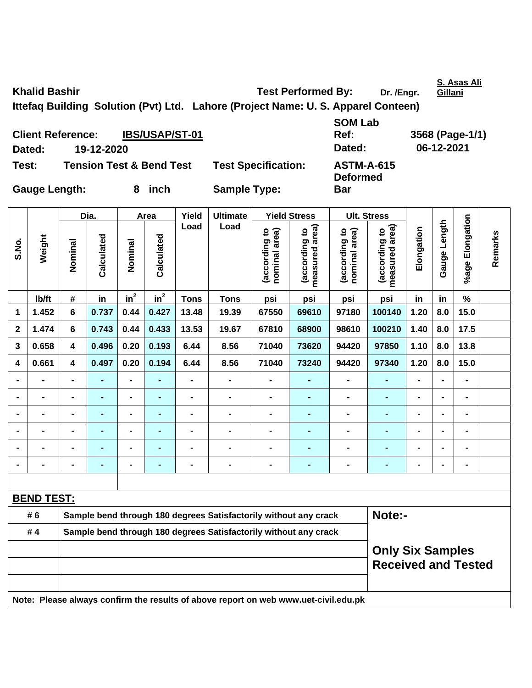Khalid Bashir **Test Performed By:** Dr. /Engr.

**S. Asas Ali** 

**Ittefaq Building Solution (Pvt) Ltd. Lahore (Project Name: U. S. Apparel Conteen)** 

**Client Reference: IBS/USAP/ST-01 Dated: 19-12-2020 Dated: 06-12-2021 Test: Tension Test & Bend Test Test Specification: ASTM-A-615** 

**SOM Lab** 

**Deformed** 

**Bar** 

**Ref: 3568 (Page-1/1)** 

**Gauge Length: 8 inch Sample Type:** 

|                |                   |                                                                  | Dia.           |                | Area            | Yield                        | <b>Ultimate</b>                                                                     |                                | <b>Yield Stress</b>                |                                | <b>Ult. Stress</b>              |                              |                |                 |         |
|----------------|-------------------|------------------------------------------------------------------|----------------|----------------|-----------------|------------------------------|-------------------------------------------------------------------------------------|--------------------------------|------------------------------------|--------------------------------|---------------------------------|------------------------------|----------------|-----------------|---------|
| S.No.          | Weight            | Nominal                                                          | Calculated     | Nominal        | Calculated      | Load                         | Load                                                                                | (according to<br>nominal area) | area)<br>(according to<br>measured | nominal area)<br>(according to | measured area)<br>(according to | Elongation                   | Gauge Length   | %age Elongation | Remarks |
|                | lb/ft             | #                                                                | in             | $in^2$         | $\mathsf{in}^2$ | <b>Tons</b>                  | <b>Tons</b>                                                                         | psi                            | psi                                | psi                            | psi                             | in                           | in             | $\%$            |         |
| 1              | 1.452             | 6                                                                | 0.737          | 0.44           | 0.427           | 13.48                        | 19.39                                                                               | 67550                          | 69610                              | 97180                          | 100140                          | 1.20                         | 8.0            | 15.0            |         |
| $\mathbf{2}$   | 1.474             | 6                                                                | 0.743          | 0.44           | 0.433           | 13.53                        | 19.67                                                                               | 67810                          | 68900                              | 98610                          | 100210                          | 1.40                         | 8.0            | 17.5            |         |
| 3              | 0.658             | 4                                                                | 0.496          | 0.20           | 0.193           | 6.44                         | 8.56                                                                                | 71040                          | 73620                              | 94420                          | 97850                           | 1.10                         | 8.0            | 13.8            |         |
| 4              | 0.661             | $\overline{\mathbf{4}}$                                          | 0.497          | 0.20           | 0.194           | 6.44                         | 8.56                                                                                | 71040                          | 73240                              | 94420                          | 97340                           | 1.20                         | 8.0            | 15.0            |         |
| $\blacksquare$ | $\blacksquare$    | $\blacksquare$                                                   | ۰              | $\overline{a}$ | $\blacksquare$  | $\overline{\phantom{0}}$     | $\blacksquare$                                                                      | $\blacksquare$                 | Ξ,                                 | $\blacksquare$                 | ٠                               | $\overline{\phantom{0}}$     | $\blacksquare$ | $\blacksquare$  |         |
| $\blacksquare$ | $\blacksquare$    | $\blacksquare$                                                   | $\blacksquare$ | $\blacksquare$ | $\blacksquare$  | $\qquad \qquad \blacksquare$ | $\blacksquare$                                                                      | $\blacksquare$                 | $\blacksquare$                     | $\blacksquare$                 | ٠                               | $\qquad \qquad \blacksquare$ | $\blacksquare$ | $\blacksquare$  |         |
| $\blacksquare$ | $\blacksquare$    | $\blacksquare$                                                   | $\blacksquare$ | $\blacksquare$ | ۰               | $\qquad \qquad \blacksquare$ | $\blacksquare$                                                                      | $\blacksquare$                 | -                                  | $\blacksquare$                 | ٠                               | $\blacksquare$               | $\blacksquare$ | $\blacksquare$  |         |
|                | $\blacksquare$    | $\blacksquare$                                                   | $\blacksquare$ | $\blacksquare$ | $\blacksquare$  | $\blacksquare$               | $\blacksquare$                                                                      | $\blacksquare$                 |                                    | $\blacksquare$                 | ÷,                              | $\blacksquare$               | $\blacksquare$ | $\blacksquare$  |         |
|                |                   | -                                                                |                | $\blacksquare$ |                 | $\blacksquare$               | $\blacksquare$                                                                      | $\blacksquare$                 |                                    | $\blacksquare$                 | $\blacksquare$                  |                              | $\blacksquare$ | $\blacksquare$  |         |
| $\blacksquare$ |                   | $\blacksquare$                                                   | $\blacksquare$ | $\blacksquare$ | ۰               | $\blacksquare$               | $\blacksquare$                                                                      | $\blacksquare$                 |                                    | $\blacksquare$                 | ۰                               | $\blacksquare$               | $\blacksquare$ | $\blacksquare$  |         |
|                |                   |                                                                  |                |                |                 |                              |                                                                                     |                                |                                    |                                |                                 |                              |                |                 |         |
|                | <b>BEND TEST:</b> |                                                                  |                |                |                 |                              |                                                                                     |                                |                                    |                                |                                 |                              |                |                 |         |
|                | # 6               | Sample bend through 180 degrees Satisfactorily without any crack |                |                |                 |                              |                                                                                     |                                |                                    |                                | Note:-                          |                              |                |                 |         |
|                | #4                | Sample bend through 180 degrees Satisfactorily without any crack |                |                |                 |                              |                                                                                     |                                |                                    |                                |                                 |                              |                |                 |         |
|                |                   | <b>Only Six Samples</b><br><b>Received and Tested</b>            |                |                |                 |                              |                                                                                     |                                |                                    |                                |                                 |                              |                |                 |         |
|                |                   |                                                                  |                |                |                 |                              | Note: Please always confirm the results of above report on web www.uet-civil.edu.pk |                                |                                    |                                |                                 |                              |                |                 |         |

**Gillani**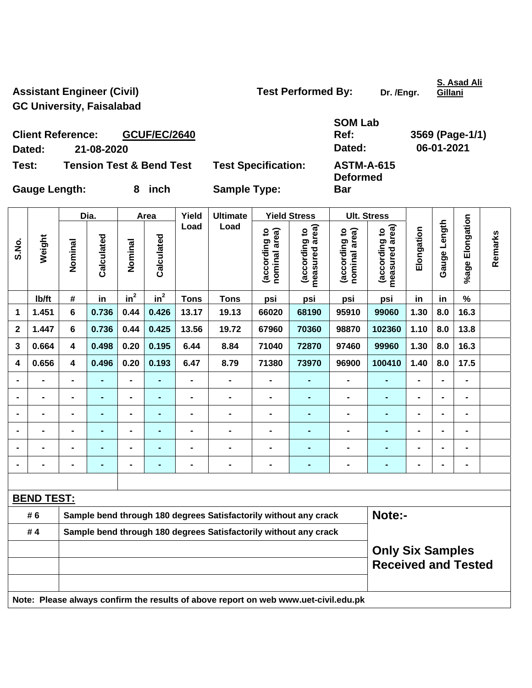Assistant Engineer (Civil) **Test Performed By:** Dr. /Engr. **GC University, Faisalabad** 

**S. Asad Ali Gillani**

**Client Reference: GCUF/EC/2640 Dated: 21-08-2020 Dated: 06-01-2021** 

| SOM Lab |   |
|---------|---|
| Ref:    | 3 |
| Dated:  |   |
|         |   |

**Deformed** 

**Bar** 

**Ref: 3569 (Page-1/1)** 

**Test: Tension Test & Bend Test Test Specification: ASTM-A-615** 

Gauge Length: 8 inch Sample Type:

|                |                   |                         | Dia.           |                | Area           | Yield          | <b>Ultimate</b>                                                                     |                               | <b>Yield Stress</b>                |                                | <b>Ult. Stress</b>                                    |                |                |                              |         |
|----------------|-------------------|-------------------------|----------------|----------------|----------------|----------------|-------------------------------------------------------------------------------------|-------------------------------|------------------------------------|--------------------------------|-------------------------------------------------------|----------------|----------------|------------------------------|---------|
| S.No.          | Weight            | Nominal                 | Calculated     | Nominal        | Calculated     | Load           | Load                                                                                | according to<br>nominal area) | area)<br>(according to<br>measured | (according to<br>nominal area) | measured area)<br>(according to                       | Elongation     | Gauge Length   | %age Elongation              | Remarks |
|                | Ib/ft             | #                       | in             | $in^2$         | $in^2$         | <b>Tons</b>    | <b>Tons</b>                                                                         | psi                           | psi                                | psi                            | psi                                                   | in             | in             | $\%$                         |         |
| 1              | 1.451             | 6                       | 0.736          | 0.44           | 0.426          | 13.17          | 19.13                                                                               | 66020                         | 68190                              | 95910                          | 99060                                                 | 1.30           | 8.0            | 16.3                         |         |
| $\mathbf 2$    | 1.447             | 6                       | 0.736          | 0.44           | 0.425          | 13.56          | 19.72                                                                               | 67960                         | 70360                              | 98870                          | 102360                                                | 1.10           | 8.0            | 13.8                         |         |
| 3              | 0.664             | 4                       | 0.498          | 0.20           | 0.195          | 6.44           | 8.84                                                                                | 71040                         | 72870                              | 97460                          | 99960                                                 | 1.30           | 8.0            | 16.3                         |         |
| 4              | 0.656             | $\overline{\mathbf{4}}$ | 0.496          | 0.20           | 0.193          | 6.47           | 8.79                                                                                | 71380                         | 73970                              | 96900                          | 100410                                                | 1.40           | 8.0            | 17.5                         |         |
|                |                   |                         |                |                |                | -              | $\blacksquare$                                                                      |                               |                                    |                                |                                                       |                |                |                              |         |
|                |                   | $\blacksquare$          |                | $\blacksquare$ |                | $\blacksquare$ | $\blacksquare$                                                                      | $\blacksquare$                | $\blacksquare$                     | $\blacksquare$                 |                                                       | $\blacksquare$ |                | $\blacksquare$               |         |
| $\blacksquare$ | $\blacksquare$    | $\blacksquare$          | $\blacksquare$ | $\blacksquare$ | $\blacksquare$ | -              | $\blacksquare$                                                                      | $\blacksquare$                | $\blacksquare$                     | $\blacksquare$                 | $\blacksquare$                                        | $\blacksquare$ | $\blacksquare$ | $\blacksquare$               |         |
| $\blacksquare$ | $\blacksquare$    | -                       | $\blacksquare$ | $\blacksquare$ |                | -              | $\blacksquare$                                                                      | $\blacksquare$                | $\blacksquare$                     | $\blacksquare$                 | $\blacksquare$                                        | $\blacksquare$ | $\blacksquare$ | $\blacksquare$               |         |
| $\blacksquare$ | $\blacksquare$    | $\blacksquare$          | $\blacksquare$ | $\blacksquare$ | $\blacksquare$ | -              | $\blacksquare$                                                                      | $\blacksquare$                | $\blacksquare$                     | $\blacksquare$                 | ٠                                                     | $\blacksquare$ |                | $\blacksquare$               |         |
| $\blacksquare$ | $\blacksquare$    | $\blacksquare$          |                | $\blacksquare$ |                | $\blacksquare$ | $\blacksquare$                                                                      | $\blacksquare$                | $\blacksquare$                     | $\overline{\phantom{0}}$       | ٠                                                     | $\blacksquare$ | $\blacksquare$ | $\qquad \qquad \blacksquare$ |         |
|                |                   |                         |                |                |                |                |                                                                                     |                               |                                    |                                |                                                       |                |                |                              |         |
|                | <b>BEND TEST:</b> |                         |                |                |                |                |                                                                                     |                               |                                    |                                |                                                       |                |                |                              |         |
|                | # 6               |                         |                |                |                |                | Sample bend through 180 degrees Satisfactorily without any crack                    |                               |                                    |                                | Note:-                                                |                |                |                              |         |
|                | #4                |                         |                |                |                |                | Sample bend through 180 degrees Satisfactorily without any crack                    |                               |                                    |                                |                                                       |                |                |                              |         |
|                |                   |                         |                |                |                |                |                                                                                     |                               |                                    |                                | <b>Only Six Samples</b><br><b>Received and Tested</b> |                |                |                              |         |
|                |                   |                         |                |                |                |                | Note: Please always confirm the results of above report on web www.uet-civil.edu.pk |                               |                                    |                                |                                                       |                |                |                              |         |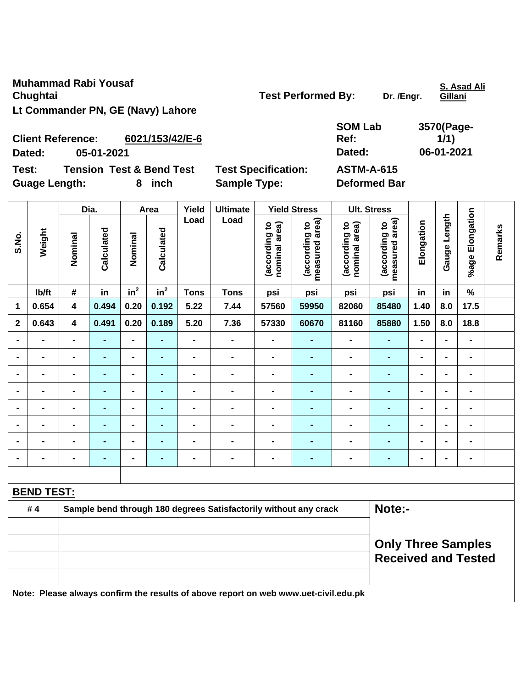**Muhammad Rabi Yousaf Chughtai Chughtai Chughtai Chughtai Chughtai Chughtai Chughtai Chughtai Chughtai Chughtai Chughtai Chughtai Chughtai Chughtai Chughtai Chughtai Chughtai Chughtai Chughtai Chughtai Chughtai Chughtai Chughtai Chughtai Chugh Lt Commander PN, GE (Navy) Lahore** 

**S. Asad Ali Gillani**

| <b>SOM Lab</b> | 3570(Page- |
|----------------|------------|
| Ref:           | 1/1)       |
| Dated:         | 06-01-2021 |
| ACTM A C15     |            |

**Client Reference: 6021/153/42/E-6 Dated: 05-01-2021 Dated: 06-01-2021 Test: Tension Test & Bend Test Test Specification: ASTM-A-615** 

Guage Length: **8** inch Sample Type: Deformed Bar

|                |                   |                         | Dia.           |                 | Area           | Yield          | <b>Ultimate</b>                                                  |                                | <b>Yield Stress</b>             |                                | <b>Ult. Stress</b>              |                |                |                              |         |
|----------------|-------------------|-------------------------|----------------|-----------------|----------------|----------------|------------------------------------------------------------------|--------------------------------|---------------------------------|--------------------------------|---------------------------------|----------------|----------------|------------------------------|---------|
| S.No.          | Weight            | Nominal                 | Calculated     | Nominal         | Calculated     | Load           | Load                                                             | (according to<br>nominal area) | measured area)<br>(according to | (according to<br>nominal area) | measured area)<br>(according to | Elongation     | Gauge Length   | %age Elongation              | Remarks |
|                | lb/ft             | #                       | in             | in <sup>2</sup> | $in^2$         | <b>Tons</b>    | <b>Tons</b>                                                      | psi                            | psi                             | psi                            | psi                             | in             | in             | $\%$                         |         |
| 1              | 0.654             | 4                       | 0.494          | 0.20            | 0.192          | 5.22           | 7.44                                                             | 57560                          | 59950                           | 82060                          | 85480                           | 1.40           | 8.0            | 17.5                         |         |
| $\mathbf 2$    | 0.643             | $\overline{\mathbf{4}}$ | 0.491          | 0.20            | 0.189          | 5.20           | 7.36                                                             | 57330                          | 60670                           | 81160                          | 85880                           | 1.50           | 8.0            | 18.8                         |         |
| $\blacksquare$ | $\blacksquare$    | $\blacksquare$          | $\blacksquare$ | $\blacksquare$  | $\blacksquare$ | $\blacksquare$ | $\frac{1}{2}$                                                    | $\blacksquare$                 | $\blacksquare$                  | $\blacksquare$                 | $\blacksquare$                  | $\blacksquare$ | $\blacksquare$ | $\blacksquare$               |         |
|                | $\blacksquare$    | $\blacksquare$          | ٠              | $\blacksquare$  | -              | $\blacksquare$ | $\blacksquare$                                                   | $\blacksquare$                 | $\blacksquare$                  | $\blacksquare$                 | $\blacksquare$                  | $\blacksquare$ |                | $\blacksquare$               |         |
| $\blacksquare$ | $\blacksquare$    | $\blacksquare$          | ٠              | $\blacksquare$  | ۰              | $\blacksquare$ | $\blacksquare$                                                   | $\blacksquare$                 | ٠                               | $\blacksquare$                 | $\blacksquare$                  | $\blacksquare$ | $\blacksquare$ | $\qquad \qquad \blacksquare$ |         |
| $\blacksquare$ | $\blacksquare$    | $\blacksquare$          | $\blacksquare$ | $\blacksquare$  | $\blacksquare$ | $\blacksquare$ | $\blacksquare$                                                   | $\blacksquare$                 | ٠                               | $\blacksquare$                 | $\blacksquare$                  | $\blacksquare$ | $\blacksquare$ | $\qquad \qquad \blacksquare$ |         |
|                | $\blacksquare$    | $\blacksquare$          | $\blacksquare$ | $\blacksquare$  | $\blacksquare$ | $\blacksquare$ | $\blacksquare$                                                   | $\blacksquare$                 | $\blacksquare$                  | $\blacksquare$                 | ÷                               | $\blacksquare$ |                | $\blacksquare$               |         |
|                |                   |                         | $\blacksquare$ | $\blacksquare$  | $\blacksquare$ |                | $\blacksquare$                                                   | $\blacksquare$                 | $\blacksquare$                  | $\blacksquare$                 | $\blacksquare$                  | $\blacksquare$ | $\blacksquare$ | $\blacksquare$               |         |
| $\blacksquare$ |                   | $\blacksquare$          | ٠              | $\blacksquare$  | $\blacksquare$ | $\blacksquare$ | $\blacksquare$                                                   | $\blacksquare$                 | $\blacksquare$                  | $\blacksquare$                 | ÷                               | $\blacksquare$ | $\blacksquare$ | $\blacksquare$               |         |
| $\blacksquare$ | $\blacksquare$    | $\blacksquare$          | $\blacksquare$ | $\blacksquare$  | $\blacksquare$ | $\blacksquare$ | $\blacksquare$                                                   | $\blacksquare$                 | $\blacksquare$                  | $\blacksquare$                 | $\blacksquare$                  | $\blacksquare$ | $\blacksquare$ | $\qquad \qquad \blacksquare$ |         |
|                |                   |                         |                |                 |                |                |                                                                  |                                |                                 |                                |                                 |                |                |                              |         |
|                | <b>BEND TEST:</b> |                         |                |                 |                |                |                                                                  |                                |                                 |                                |                                 |                |                |                              |         |
|                | #4                |                         |                |                 |                |                | Sample bend through 180 degrees Satisfactorily without any crack |                                |                                 | Note:-                         |                                 |                |                |                              |         |
|                |                   |                         |                |                 |                |                |                                                                  |                                |                                 |                                |                                 |                |                |                              |         |
|                |                   |                         |                |                 |                |                |                                                                  |                                |                                 |                                | <b>Only Three Samples</b>       |                |                |                              |         |
|                |                   |                         |                |                 |                |                |                                                                  |                                |                                 |                                | <b>Received and Tested</b>      |                |                |                              |         |
|                |                   |                         |                |                 |                |                |                                                                  |                                |                                 |                                |                                 |                |                |                              |         |

**Note: Please always confirm the results of above report on web www.uet-civil.edu.pk**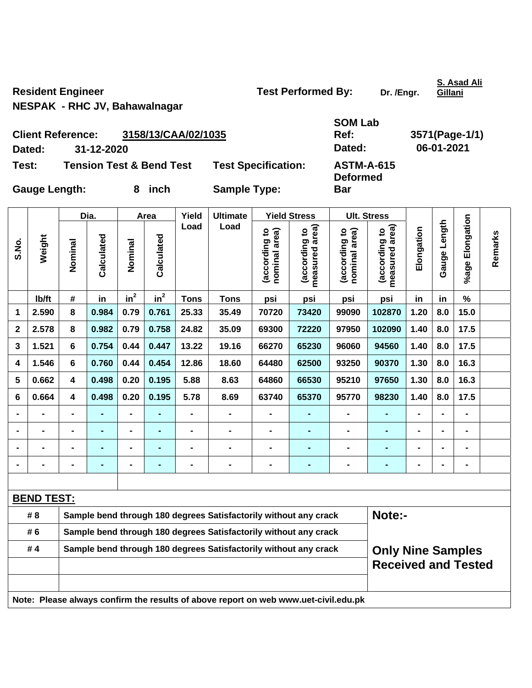Resident Engineer **Test Performed By:** Dr. /Engr.

**S. Asad Ali Gillani**

**NESPAK - RHC JV, Bahawalnagar** 

|                      | <b>Client Reference:</b> | 3158/13/CAA/02/1035                 |                            | Ref:                                 |
|----------------------|--------------------------|-------------------------------------|----------------------------|--------------------------------------|
| Dated:               | 31-12-2020               |                                     |                            | Dated:                               |
| Test:                |                          | <b>Tension Test &amp; Bend Test</b> | <b>Test Specification:</b> | <b>ASTM-A-615</b><br><b>Deformed</b> |
| <b>Gauge Length:</b> |                          | inch                                | <b>Sample Type:</b>        | <b>Bar</b>                           |

|                |                   |                                                                  | Dia.           |         | Area       | Yield          | <b>Ultimate</b>                                                                     |                                | <b>Yield Stress</b>                           |                                | <b>Ult. Stress</b>                                     |                |                |                      |         |
|----------------|-------------------|------------------------------------------------------------------|----------------|---------|------------|----------------|-------------------------------------------------------------------------------------|--------------------------------|-----------------------------------------------|--------------------------------|--------------------------------------------------------|----------------|----------------|----------------------|---------|
| S.No.          | Weight            | Nominal                                                          | Calculated     | Nominal | Calculated | Load           | Load                                                                                | (according to<br>nominal area) | (according to  <br>measured area)<br>measured | (according to<br>nominal area) | measured area)<br>(according to                        | Elongation     | Gauge Length   | Elongation<br>%age I | Remarks |
|                | Ib/ft             | #                                                                | in             | $in^2$  | $in^2$     | <b>Tons</b>    | <b>Tons</b>                                                                         | psi                            | psi                                           | psi                            | psi                                                    | in             | in             | $\%$                 |         |
| 1              | 2.590             | 8                                                                | 0.984          | 0.79    | 0.761      | 25.33          | 35.49                                                                               | 70720                          | 73420                                         | 99090                          | 102870                                                 | 1.20           | 8.0            | 15.0                 |         |
| $\mathbf 2$    | 2.578             | 8                                                                | 0.982          | 0.79    | 0.758      | 24.82          | 35.09                                                                               | 69300                          | 72220                                         | 97950                          | 102090                                                 | 1.40           | 8.0            | 17.5                 |         |
| 3              | 1.521             | 6                                                                | 0.754          | 0.44    | 0.447      | 13.22          | 19.16                                                                               | 66270                          | 65230                                         | 96060                          | 94560                                                  | 1.40           | 8.0            | 17.5                 |         |
| 4              | 1.546             | 6                                                                | 0.760          | 0.44    | 0.454      | 12.86          | 18.60                                                                               | 64480                          | 62500                                         | 93250                          | 90370                                                  | 1.30           | 8.0            | 16.3                 |         |
| 5              | 0.662             | $\overline{\mathbf{4}}$                                          | 0.498          | 0.20    | 0.195      | 5.88           | 8.63                                                                                | 64860                          | 66530                                         | 95210                          | 97650                                                  | 1.30           | 8.0            | 16.3                 |         |
| $\bf 6$        | 0.664             | $\overline{\mathbf{4}}$                                          | 0.498          | 0.20    | 0.195      | 5.78           | 8.69                                                                                | 63740                          | 65370                                         | 95770                          | 98230                                                  | 1.40           | 8.0            | 17.5                 |         |
| $\blacksquare$ |                   | -                                                                |                |         |            |                |                                                                                     |                                |                                               |                                |                                                        |                |                |                      |         |
| $\blacksquare$ |                   |                                                                  | ÷,             |         | ٠          | $\blacksquare$ |                                                                                     | $\blacksquare$                 |                                               |                                | ۰                                                      | $\blacksquare$ | $\blacksquare$ |                      |         |
|                |                   | -                                                                | $\blacksquare$ |         | -          | $\blacksquare$ |                                                                                     |                                | $\blacksquare$                                |                                | ۰                                                      | $\blacksquare$ | $\blacksquare$ | $\blacksquare$       |         |
|                |                   | $\blacksquare$                                                   | $\blacksquare$ |         | ٠          | $\blacksquare$ | $\blacksquare$                                                                      | $\blacksquare$                 | $\blacksquare$                                | $\blacksquare$                 | ۰                                                      | $\blacksquare$ | $\blacksquare$ | $\blacksquare$       |         |
|                |                   |                                                                  |                |         |            |                |                                                                                     |                                |                                               |                                |                                                        |                |                |                      |         |
|                | <b>BEND TEST:</b> |                                                                  |                |         |            |                |                                                                                     |                                |                                               |                                |                                                        |                |                |                      |         |
|                | # 8               |                                                                  |                |         |            |                | Sample bend through 180 degrees Satisfactorily without any crack                    |                                |                                               |                                | Note:-                                                 |                |                |                      |         |
|                | # 6               | Sample bend through 180 degrees Satisfactorily without any crack |                |         |            |                |                                                                                     |                                |                                               |                                |                                                        |                |                |                      |         |
|                | #4                |                                                                  |                |         |            |                | Sample bend through 180 degrees Satisfactorily without any crack                    |                                |                                               |                                | <b>Only Nine Samples</b><br><b>Received and Tested</b> |                |                |                      |         |
|                |                   |                                                                  |                |         |            |                | Note: Please always confirm the results of above report on web www.uet-civil.edu.pk |                                |                                               |                                |                                                        |                |                |                      |         |

**SOM Lab** 

**Ref: 3571(Page-1/1) Dated: 31-12-2020 Dated: 06-01-2021**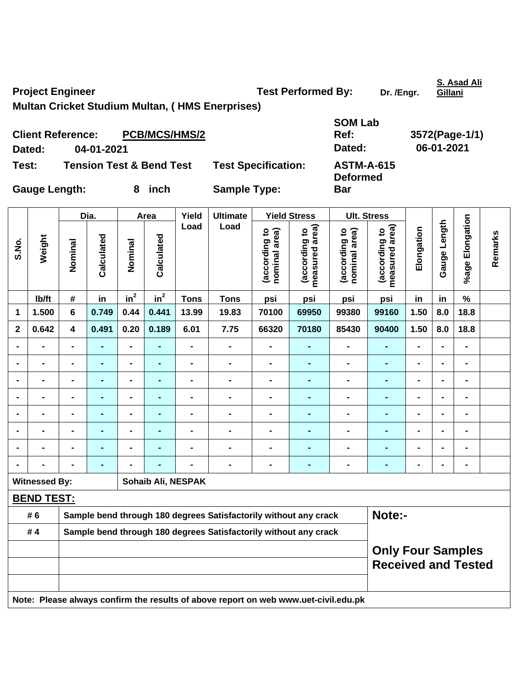**Project Engineer Construction Construction Test Performed By:** Dr. /Engr.

**S. Asad Ali Gillani**

**Multan Cricket Studium Multan, ( HMS Enerprises)** 

| <b>Client Reference:</b> |            | <b>PCB/MCS/HMS/2</b>                |                            | <b>SOM Lab</b><br>Ref:               | 3572(Page-1/1) |
|--------------------------|------------|-------------------------------------|----------------------------|--------------------------------------|----------------|
| Dated:                   | 04-01-2021 |                                     |                            | Dated:                               | 06-01-2021     |
| Test:                    |            | <b>Tension Test &amp; Bend Test</b> | <b>Test Specification:</b> | <b>ASTM-A-615</b><br><b>Deformed</b> |                |
| <b>Gauge Length:</b>     |            | inch                                | <b>Sample Type:</b>        | <b>Bar</b>                           |                |

|                |                      |                                                                                     | Dia.           |                              | Area           | Yield              | <b>Ultimate</b>                                                  |                                | <b>Yield Stress</b>                |                                | <b>Ult. Stress</b>                                     |                |                |                 |         |
|----------------|----------------------|-------------------------------------------------------------------------------------|----------------|------------------------------|----------------|--------------------|------------------------------------------------------------------|--------------------------------|------------------------------------|--------------------------------|--------------------------------------------------------|----------------|----------------|-----------------|---------|
| S.No.          | Weight               | Nominal                                                                             | Calculated     | Nominal                      | Calculated     | Load               | Load                                                             | (according to<br>nominal area) | area)<br>(according to<br>measured | (according to<br>nominal area) | measured area)<br>(according to                        | Elongation     | Gauge Length   | %age Elongation | Remarks |
|                | Ib/ft                | $\pmb{\#}$                                                                          | in             | $in^2$                       | $in^2$         | <b>Tons</b>        | <b>Tons</b>                                                      | psi                            | psi                                | psi                            | psi                                                    | in             | in             | $\%$            |         |
| 1              | 1.500                | $6\phantom{1}$                                                                      | 0.749          | 0.44                         | 0.441          | 13.99              | 19.83                                                            | 70100                          | 69950                              | 99380                          | 99160                                                  | 1.50           | 8.0            | 18.8            |         |
| $\mathbf 2$    | 0.642                | 4                                                                                   | 0.491          | 0.20                         | 0.189          | 6.01               | 7.75                                                             | 66320                          | 70180                              | 85430                          | 90400                                                  | 1.50           | 8.0            | 18.8            |         |
|                | $\blacksquare$       |                                                                                     |                | $\blacksquare$               |                | $\overline{a}$     | $\blacksquare$                                                   | $\blacksquare$                 | $\blacksquare$                     |                                | $\blacksquare$                                         | $\blacksquare$ |                | $\blacksquare$  |         |
| $\blacksquare$ | $\blacksquare$       | $\blacksquare$                                                                      | $\blacksquare$ | $\blacksquare$               | Ē.             | -                  | $\blacksquare$                                                   | $\blacksquare$                 | $\blacksquare$                     | $\blacksquare$                 | $\blacksquare$                                         | $\blacksquare$ | $\blacksquare$ | $\blacksquare$  |         |
|                | $\blacksquare$       | $\blacksquare$                                                                      | $\blacksquare$ | $\blacksquare$               | $\blacksquare$ | $\blacksquare$     | $\blacksquare$                                                   | $\blacksquare$                 | $\blacksquare$                     | $\blacksquare$                 | $\blacksquare$                                         | $\blacksquare$ | $\blacksquare$ | $\blacksquare$  |         |
|                | $\blacksquare$       | $\blacksquare$                                                                      | Ē.             | $\qquad \qquad \blacksquare$ |                | $\blacksquare$     | $\blacksquare$                                                   | $\blacksquare$                 | $\blacksquare$                     | $\blacksquare$                 | $\blacksquare$                                         | $\blacksquare$ | ÷              | $\blacksquare$  |         |
|                | $\blacksquare$       | $\blacksquare$                                                                      | $\blacksquare$ | $\blacksquare$               |                | $\blacksquare$     | $\blacksquare$                                                   | $\blacksquare$                 | -                                  | $\blacksquare$                 | $\blacksquare$                                         | $\blacksquare$ |                | $\blacksquare$  |         |
|                |                      |                                                                                     |                | ÷                            |                | $\blacksquare$     | $\blacksquare$                                                   | $\blacksquare$                 | $\blacksquare$                     | $\blacksquare$                 |                                                        |                |                | $\blacksquare$  |         |
|                |                      |                                                                                     |                | -                            |                |                    |                                                                  |                                |                                    |                                |                                                        |                |                |                 |         |
|                |                      |                                                                                     |                |                              |                |                    |                                                                  | $\blacksquare$                 | $\blacksquare$                     | $\blacksquare$                 | $\blacksquare$                                         | $\blacksquare$ |                | $\blacksquare$  |         |
|                | <b>Witnessed By:</b> |                                                                                     |                |                              |                | Sohaib Ali, NESPAK |                                                                  |                                |                                    |                                |                                                        |                |                |                 |         |
|                | <b>BEND TEST:</b>    |                                                                                     |                |                              |                |                    |                                                                  |                                |                                    |                                |                                                        |                |                |                 |         |
|                | # 6                  |                                                                                     |                |                              |                |                    | Sample bend through 180 degrees Satisfactorily without any crack |                                |                                    |                                | Note:-                                                 |                |                |                 |         |
|                | #4                   | Sample bend through 180 degrees Satisfactorily without any crack                    |                |                              |                |                    |                                                                  |                                |                                    |                                |                                                        |                |                |                 |         |
|                |                      |                                                                                     |                |                              |                |                    |                                                                  |                                |                                    |                                | <b>Only Four Samples</b><br><b>Received and Tested</b> |                |                |                 |         |
|                |                      | Note: Please always confirm the results of above report on web www.uet-civil.edu.pk |                |                              |                |                    |                                                                  |                                |                                    |                                |                                                        |                |                |                 |         |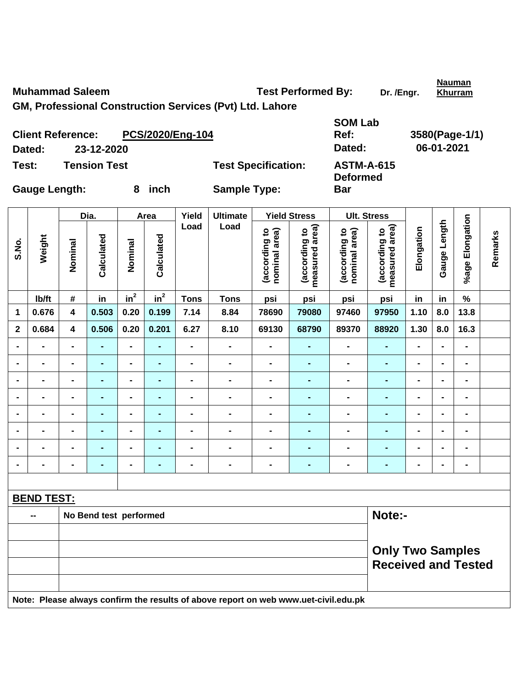**Muhammad Saleem Test Performed By:** Dr. /Engr.

**Nauman** 

**GM, Professional Construction Services (Pvt) Ltd. Lahore** 

|                      | <b>Client Reference:</b> | PCS/2020/Eng-104 |                            | <b>SOM Lab</b><br>Ref:               | 3580(Page-1/1) |
|----------------------|--------------------------|------------------|----------------------------|--------------------------------------|----------------|
| Dated:               | 23-12-2020               |                  |                            | Dated:                               | 06-01-2021     |
| Test:                | <b>Tension Test</b>      |                  | <b>Test Specification:</b> | <b>ASTM-A-615</b><br><b>Deformed</b> |                |
| <b>Gauge Length:</b> |                          | inch             | <b>Sample Type:</b>        | <b>Bar</b>                           |                |

|                |                   |                         | Dia.                   |                              | Area           | Yield          | <b>Ultimate</b>                                                                     |                                | <b>Yield Stress</b>             |                                | <b>Ult. Stress</b>                                    |                |                |                              |         |
|----------------|-------------------|-------------------------|------------------------|------------------------------|----------------|----------------|-------------------------------------------------------------------------------------|--------------------------------|---------------------------------|--------------------------------|-------------------------------------------------------|----------------|----------------|------------------------------|---------|
| S.No.          | Weight            | Nominal                 | Calculated             | Nominal                      | Calculated     | Load           | Load                                                                                | (according to<br>nominal area) | measured area)<br>(according to | (according to<br>nominal area) | measured area)<br>(according to                       | Elongation     | Gauge Length   | %age Elongation              | Remarks |
|                | Ib/ft             | $\#$                    | in                     | $in^2$                       | $in^2$         | <b>Tons</b>    | <b>Tons</b>                                                                         | psi                            | psi                             | psi                            | psi                                                   | in             | in             | $\%$                         |         |
| 1              | 0.676             | $\overline{\mathbf{4}}$ | 0.503                  | 0.20                         | 0.199          | 7.14           | 8.84                                                                                | 78690                          | 79080                           | 97460                          | 97950                                                 | 1.10           | 8.0            | 13.8                         |         |
| $\overline{2}$ | 0.684             | $\overline{\mathbf{4}}$ | 0.506                  | 0.20                         | 0.201          | 6.27           | 8.10                                                                                | 69130                          | 68790                           | 89370                          | 88920                                                 | 1.30           | 8.0            | 16.3                         |         |
| $\blacksquare$ | $\blacksquare$    | $\blacksquare$          | $\blacksquare$         | $\blacksquare$               |                | $\blacksquare$ | $\blacksquare$                                                                      | $\blacksquare$                 | L,                              | $\blacksquare$                 | $\blacksquare$                                        | $\blacksquare$ | $\blacksquare$ | $\blacksquare$               |         |
| $\blacksquare$ | $\blacksquare$    | $\blacksquare$          | $\blacksquare$         | $\blacksquare$               | $\blacksquare$ | $\blacksquare$ | $\blacksquare$                                                                      | $\blacksquare$                 | $\blacksquare$                  | $\blacksquare$                 | $\blacksquare$                                        | $\blacksquare$ | $\blacksquare$ | $\blacksquare$               |         |
|                | $\blacksquare$    | $\blacksquare$          | $\blacksquare$         | $\blacksquare$               | $\blacksquare$ | $\blacksquare$ | $\blacksquare$                                                                      | $\blacksquare$                 | ä,                              | $\blacksquare$                 | $\blacksquare$                                        | $\blacksquare$ |                | $\blacksquare$               |         |
|                |                   |                         | $\blacksquare$         | $\blacksquare$               |                | $\blacksquare$ | $\blacksquare$                                                                      |                                | $\blacksquare$                  |                                | $\blacksquare$                                        |                |                | $\blacksquare$               |         |
|                | $\blacksquare$    |                         | $\blacksquare$         | $\blacksquare$               |                | $\blacksquare$ | $\blacksquare$                                                                      | $\blacksquare$                 | $\blacksquare$                  | $\blacksquare$                 | Ē.                                                    | $\blacksquare$ |                | $\blacksquare$               |         |
| $\blacksquare$ | $\blacksquare$    | $\blacksquare$          | $\blacksquare$         | $\blacksquare$               | $\blacksquare$ | $\blacksquare$ | $\blacksquare$                                                                      | $\blacksquare$                 | $\blacksquare$                  | $\blacksquare$                 | ۰                                                     | $\blacksquare$ | ۰              | $\blacksquare$               |         |
|                | $\blacksquare$    | $\blacksquare$          | $\blacksquare$         | $\blacksquare$               | $\blacksquare$ | $\blacksquare$ | $\blacksquare$                                                                      | $\blacksquare$                 | $\blacksquare$                  | $\blacksquare$                 | $\blacksquare$                                        | $\blacksquare$ | $\blacksquare$ | $\blacksquare$               |         |
|                |                   | $\blacksquare$          | $\blacksquare$         | $\qquad \qquad \blacksquare$ |                | $\blacksquare$ | $\blacksquare$                                                                      | $\blacksquare$                 | ä,                              | $\blacksquare$                 | ۰                                                     | $\blacksquare$ |                | $\qquad \qquad \blacksquare$ |         |
|                |                   |                         |                        |                              |                |                |                                                                                     |                                |                                 |                                |                                                       |                |                |                              |         |
|                | <b>BEND TEST:</b> |                         |                        |                              |                |                |                                                                                     |                                |                                 |                                |                                                       |                |                |                              |         |
|                |                   |                         | No Bend test performed |                              |                |                |                                                                                     | Note:-                         |                                 |                                |                                                       |                |                |                              |         |
|                |                   |                         |                        |                              |                |                |                                                                                     |                                |                                 |                                |                                                       |                |                |                              |         |
|                |                   |                         |                        |                              |                |                |                                                                                     |                                |                                 |                                | <b>Only Two Samples</b><br><b>Received and Tested</b> |                |                |                              |         |
|                |                   |                         |                        |                              |                |                | Note: Please always confirm the results of above report on web www.uet-civil.edu.pk |                                |                                 |                                |                                                       |                |                |                              |         |

**Khurram**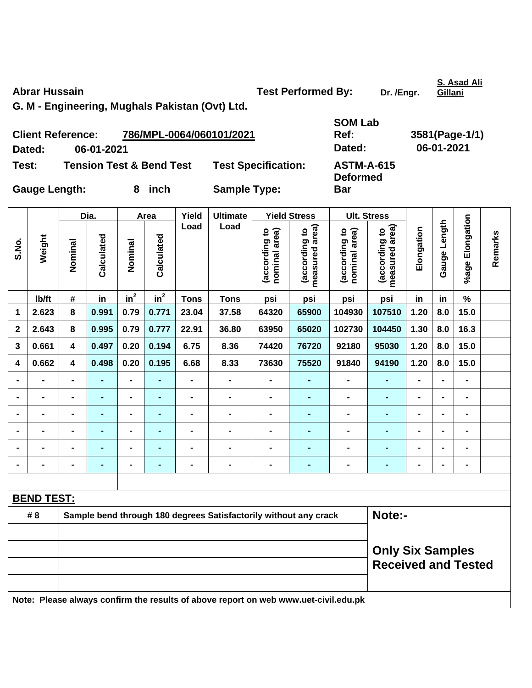Abrar Hussain **New York Constructs Abrar Hussain** Test Performed By: Dr. /Engr.

**Gillani**

**G. M - Engineering, Mughals Pakistan (Ovt) Ltd.** 

| <b>Client Reference:</b> |            | 786/MPL-0064/060101/2021            |                            | Ref:                                 | 3581(Page-1 |
|--------------------------|------------|-------------------------------------|----------------------------|--------------------------------------|-------------|
| Dated:                   | 06-01-2021 |                                     |                            | Dated:                               | 06-01-2021  |
| Test:                    |            | <b>Tension Test &amp; Bend Test</b> | <b>Test Specification:</b> | <b>ASTM-A-615</b><br><b>Deformed</b> |             |
| <b>Gauge Length:</b>     |            | inch                                | <b>Sample Type:</b>        | <b>Bar</b>                           |             |

**SOM Lab Ref: 3581(Page-1/1) ASTM-A-615 Deformed** 

|                |                   |                         | Dia.           |                          | Area           | Yield          | <b>Ultimate</b>                                                                     |                                | <b>Yield Stress</b>             |                                | <b>Ult. Stress</b>                                    |                |                |                 |         |  |
|----------------|-------------------|-------------------------|----------------|--------------------------|----------------|----------------|-------------------------------------------------------------------------------------|--------------------------------|---------------------------------|--------------------------------|-------------------------------------------------------|----------------|----------------|-----------------|---------|--|
| S.No.          | Weight            | Nominal                 | Calculated     | Nominal                  | Calculated     | Load           | Load                                                                                | (according to<br>nominal area) | (according to<br>measured area) | (according to<br>nominal area) | measured area)<br>(according to                       | Elongation     | Gauge Length   | %age Elongation | Remarks |  |
|                | Ib/ft             | $\#$                    | in             | $in^2$                   | $in^2$         | <b>Tons</b>    | <b>Tons</b>                                                                         | psi                            | psi                             | psi                            | psi                                                   | in             | in             | $\%$            |         |  |
| 1              | 2.623             | 8                       | 0.991          | 0.79                     | 0.771          | 23.04          | 37.58                                                                               | 64320                          | 65900                           | 104930                         | 107510                                                | 1.20           | 8.0            | 15.0            |         |  |
| $\mathbf{2}$   | 2.643             | 8                       | 0.995          | 0.79                     | 0.777          | 22.91          | 36.80                                                                               | 63950                          | 65020                           | 102730                         | 104450                                                | 1.30           | 8.0            | 16.3            |         |  |
| 3              | 0.661             | $\overline{\mathbf{4}}$ | 0.497          | 0.20                     | 0.194          | 6.75           | 8.36                                                                                | 74420                          | 76720                           | 92180                          | 95030                                                 | 1.20           | 8.0            | 15.0            |         |  |
| 4              | 0.662             | $\overline{\mathbf{4}}$ | 0.498          | 0.20                     | 0.195          | 6.68           | 8.33                                                                                | 73630                          | 75520                           | 91840                          | 94190                                                 | 1.20           | 8.0            | 15.0            |         |  |
|                |                   |                         |                | $\overline{a}$           |                | $\blacksquare$ | $\blacksquare$                                                                      | $\blacksquare$                 | $\blacksquare$                  | $\blacksquare$                 | $\blacksquare$                                        | $\blacksquare$ |                | $\overline{a}$  |         |  |
|                | $\overline{a}$    |                         |                | $\blacksquare$           |                | $\blacksquare$ | $\blacksquare$                                                                      | $\blacksquare$                 | $\blacksquare$                  | $\blacksquare$                 | ÷,                                                    |                |                | $\blacksquare$  |         |  |
| $\blacksquare$ | $\blacksquare$    | $\blacksquare$          | $\blacksquare$ | $\blacksquare$           | -              | $\blacksquare$ | $\blacksquare$                                                                      | $\blacksquare$                 | ۰                               | $\blacksquare$                 | -                                                     | $\blacksquare$ | $\blacksquare$ | $\blacksquare$  |         |  |
| $\blacksquare$ | $\blacksquare$    | $\blacksquare$          | $\blacksquare$ | $\overline{\phantom{0}}$ | $\blacksquare$ | $\blacksquare$ | $\blacksquare$                                                                      | $\blacksquare$                 | $\blacksquare$                  | $\blacksquare$                 | $\blacksquare$                                        | $\blacksquare$ | $\blacksquare$ | $\blacksquare$  |         |  |
|                | $\blacksquare$    |                         | $\blacksquare$ | $\overline{\phantom{0}}$ | ä,             | $\blacksquare$ | $\blacksquare$                                                                      | $\blacksquare$                 | $\blacksquare$                  | $\blacksquare$                 | ÷,                                                    | $\blacksquare$ |                | $\blacksquare$  |         |  |
|                | $\blacksquare$    | $\blacksquare$          | $\blacksquare$ | $\blacksquare$           | ٠              | $\blacksquare$ | $\blacksquare$                                                                      | $\blacksquare$                 | ۰                               | $\blacksquare$                 | $\blacksquare$                                        | $\blacksquare$ |                | $\blacksquare$  |         |  |
|                |                   |                         |                |                          |                |                |                                                                                     |                                |                                 |                                |                                                       |                |                |                 |         |  |
|                | <b>BEND TEST:</b> |                         |                |                          |                |                |                                                                                     |                                |                                 |                                |                                                       |                |                |                 |         |  |
|                | # 8               |                         |                |                          |                |                | Sample bend through 180 degrees Satisfactorily without any crack                    |                                |                                 |                                | Note:-                                                |                |                |                 |         |  |
|                |                   |                         |                |                          |                |                |                                                                                     |                                |                                 |                                |                                                       |                |                |                 |         |  |
|                |                   |                         |                |                          |                |                |                                                                                     |                                |                                 |                                | <b>Only Six Samples</b><br><b>Received and Tested</b> |                |                |                 |         |  |
|                |                   |                         |                |                          |                |                | Note: Please always confirm the results of above report on web www.uet-civil.edu.pk |                                |                                 |                                |                                                       |                |                |                 |         |  |

**S. Asad Ali**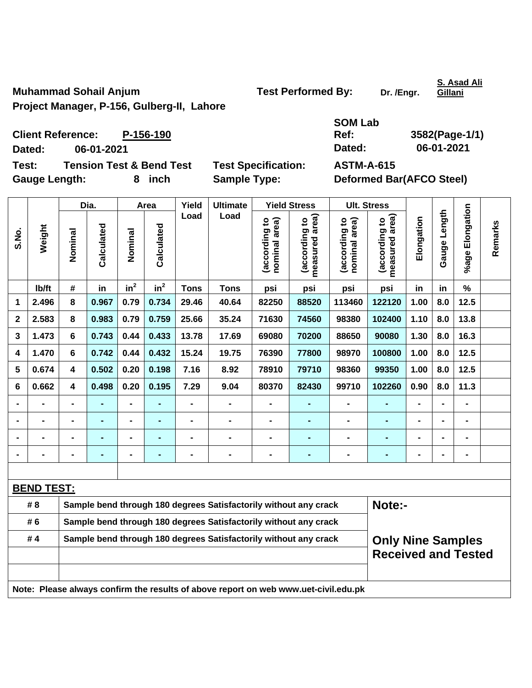**Muhammad Sohail Anjum Construction Construction Test Performed By:** Dr. /Engr.

**S. Asad Ali Gillani**

**Project Manager, P-156, Gulberg-II, Lahore** 

**SOM Lab Ref: 3582(Page-1/1)** 

**Client Reference: P-156-190 Dated: 06-01-2021 Dated: 06-01-2021 Test: Tension Test & Bend Test Test Specification: ASTM-A-615** 

Gauge Length: **8** inch Sample Type: Deformed Bar(AFCO Steel)

Dia. | Area | Yield | Ultimate | Yield Stress | Ult. Stress **%age Elongation**  %age Elongation **Gauge Length**  Gauge Length **Load Load measured area) measured area)**  (according to<br>nominal area) (according to<br>measured area) (according to<br>nominal area) (according to<br>measured area) **Elongation nominal area) nominal area)**  Elongation **(according to (according to (according to (according to Remarks**  Remarks **Calculated Calculated Weight**  Calculated Calculated **S.No. Nominal Nominal**  Nominal Nominal  **in2**  $\mathsf{lb}/\mathsf{ft}$  # in  $\mathsf{in}^2$  **Tons Tons psi psi psi psi in in % 1 2.496 8 0.967 0.79 0.734 29.46 40.64 82250 88520 113460 122120 1.00 8.0 12.5 2 2.583 8 0.983 0.79 0.759 25.66 35.24 71630 74560 98380 102400 1.10 8.0 13.8 3 1.473 6 0.743 0.44 0.433 13.78 17.69 69080 70200 88650 90080 1.30 8.0 16.3 4 1.470 6 0.742 0.44 0.432 15.24 19.75 76390 77800 98970 100800 1.00 8.0 12.5 5 0.674 4 0.502 0.20 0.198 7.16 8.92 78910 79710 98360 99350 1.00 8.0 12.5 6 0.662 4 0.498 0.20 0.195 7.29 9.04 80370 82430 99710 102260 0.90 8.0 11.3 - - - - - - - - - - - - - - - - - - - - - - - - - - - - - - - - - - - - - - - - - - - - - - - - - - - - - - - - - - - - BEND TEST:** #8 Sample bend through 180 degrees Satisfactorily without any crack **Note:-# 6 Sample bend through 180 degrees Satisfactorily without any crack # 4 Sample bend through 180 degrees Satisfactorily without any crack Only Nine Samples Received and Tested Note: Please always confirm the results of above report on web www.uet-civil.edu.pk**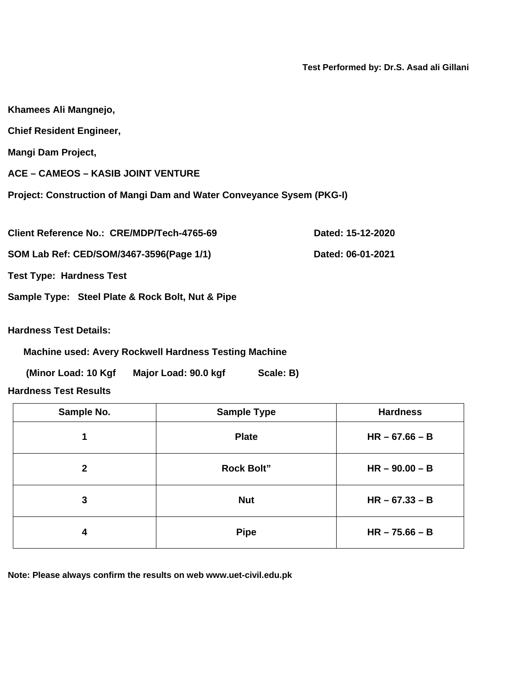**Test Performed by: Dr.S. Asad ali Gillani** 

| Khamees Ali Mangnejo,                                                 |                   |
|-----------------------------------------------------------------------|-------------------|
| <b>Chief Resident Engineer,</b>                                       |                   |
| Mangi Dam Project,                                                    |                   |
| <b>ACE - CAMEOS - KASIB JOINT VENTURE</b>                             |                   |
| Project: Construction of Mangi Dam and Water Conveyance Sysem (PKG-I) |                   |
| Client Reference No.: CRE/MDP/Tech-4765-69                            | Dated: 15-12-2020 |
| SOM Lab Ref: CED/SOM/3467-3596(Page 1/1)                              | Dated: 06-01-2021 |

**Test Type: Hardness Test** 

**Sample Type: Steel Plate & Rock Bolt, Nut & Pipe** 

**Hardness Test Details:** 

**Machine used: Avery Rockwell Hardness Testing Machine** 

(Minor Load: 10 Kgf Major Load: 90.0 kgf Scale: B)

**Hardness Test Results** 

| Sample No.   | <b>Sample Type</b> | <b>Hardness</b>  |
|--------------|--------------------|------------------|
| 1            | <b>Plate</b>       | $HR - 67.66 - B$ |
| $\mathbf{2}$ | <b>Rock Bolt"</b>  | $HR - 90.00 - B$ |
| 3            | <b>Nut</b>         | $HR - 67.33 - B$ |
| 4            | <b>Pipe</b>        | $HR - 75.66 - B$ |

**Note: Please always confirm the results on web www.uet-civil.edu.pk**